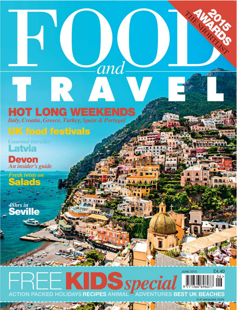### **HOT LONG WEEKENDS**

and

Italy, Croatia, Greece, Turkey, Spain & Portugal

### **UK food festivals**

**Gourmet traveller** Latvia

**Devon** An insider's guide

Fresh twists on  $\overline{\bullet}$ 

*Ashrs in*<br>Sevi

### £4.40 **JUNE 2015 DS**special  $06>$ **OLIDAYS RECIPES ANIM BEACHES**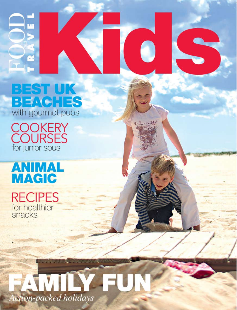## BEST UK **BEACHES**<br>with gourmet pubs

**COOKERY**<br>COURSES<br>for junior sous

Œ

## **ANIMAL MAGIC**

**RECIPES** for healthier<br>snacks

# **MILY** Action-packed holidays